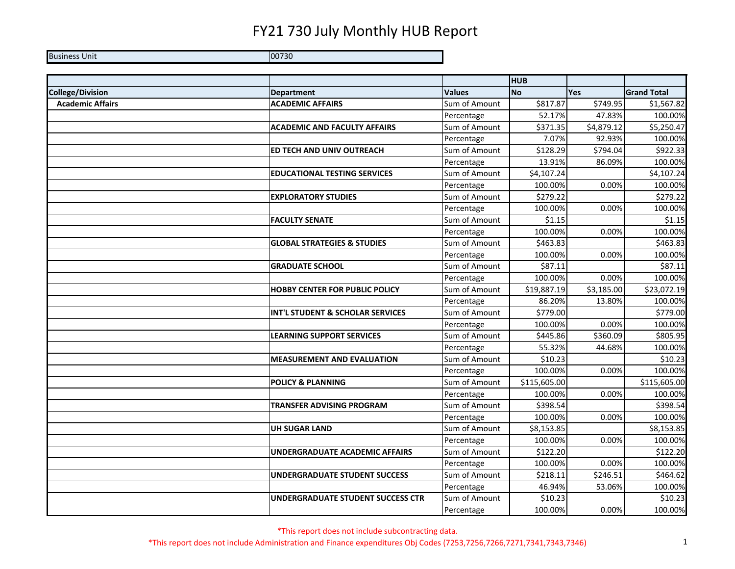Business Unit **District Contract Contract Contract Contract Contract Contract Contract Contract Contract Contract Contract Contract Contract Contract Contract Contract Contract Contract Contract Contract Contract Contract** 

**HUB College/Division Department Values No Yes Grand Total Academic Affairs ACADEMIC AFFAIRS** Sum of Amount \$817.87 \$749.95 \$1,567.82 Percentage | 52.17% 47.83% 100.00% **ACADEMIC AND FACULTY AFFAIRS** Sum of Amount | \$371.35 \$4,879.12 \$5,250.47 Percentage 100.00% 7.07% 92.93% 100.00% **ED TECH AND UNIV OUTREACH** Sum of Amount | \$128.29 \$794.04 \$922.33 Percentage 13.91% 86.09% 100.00% **EDUCATIONAL TESTING SERVICES** Sum of Amount | \$4,107.24 \$4,107.24 Percentage 100.00% 0.00% 100.00% **EXPLORATORY STUDIES** SUM Sum of Amount | \$279.22 \$279.22 Percentage 100.00% 0.00% 100.00% **FACULTY SENATE** SUM SUM OF Amount Next States States States States States States States States States States States States States States States States States States States States States States States States States States Percentage 100.00% 0.00% 100.00% **GLOBAL STRATEGIES & STUDIES** Sum of Amount \$463.83 Percentage 100.00% 0.00% 100.00% **GRADUATE SCHOOL** SUM Of Amount 587.11 SERADUATE SCHOOL Percentage 100.00% 0.00% 100.00% **HOBBY CENTER FOR PUBLIC POLICY** Sum of Amount | \$19,887.19 \$3,185.00 \$23,072.19 Percentage 1 86.20% 13.80% 100.00% **INT'L STUDENT & SCHOLAR SERVICES** Sum of Amount | \$779.00 \$779.00 \$779.00 Percentage | 100.00% 0.00% 100.00% **LEARNING SUPPORT SERVICES** Sum of Amount | \$445.86 \$360.09 \$805.95 Percentage 1 55.32% 44.68% 100.00% **MEASUREMENT AND EVALUATION** Sum of Amount | \$10.23 \$10.23 Percentage 100.00% 0.00% 100.00% **POLICY & PLANNING** Sum of Amount \$115,605.00 \$115,605.00 Percentage | 100.00% 0.00% 100.00% **TRANSFER ADVISING PROGRAM Sum of Amount Research Amount S398.54 \$398.54 \$398.54** Percentage 100.00% 0.00% 100.00% **UH SUGAR LAND SUM SUM OF AMOUNT | \$8,153.85 \$8,153.85 \$8,153.85** Percentage 100.00% 0.00% 100.00% **UNDERGRADUATE ACADEMIC AFFAIRS** Sum of Amount | \$122.20 \$122.20 \$122.20 Percentage 100.00% 0.00% 100.00% **UNDERGRADUATE STUDENT SUCCESS** Sum of Amount | \$218.11 \$246.51 \$464.62 Percentage | 46.94% 53.06% 100.00% **UNDERGRADUATE STUDENT SUCCESS CTR** Sum of Amount | \$10.23 \$10.23 Percentage | 100.00% 0.00% 100.00%

\*This report does not include subcontracting data.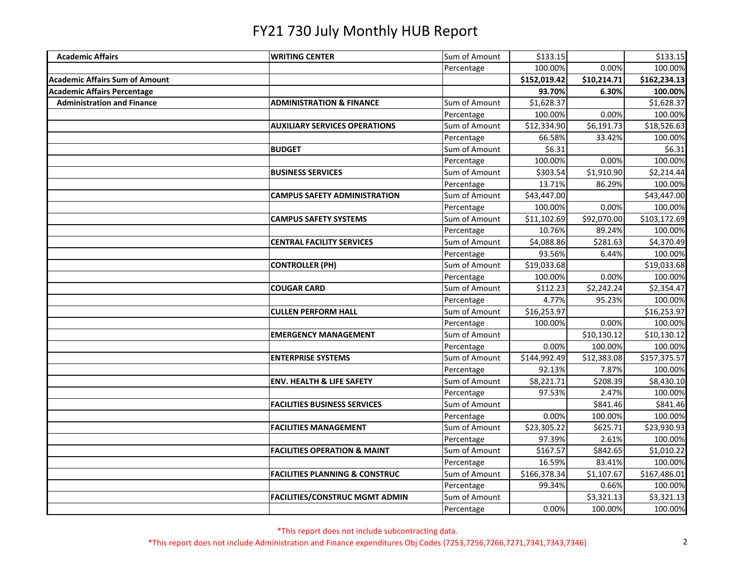| <b>Academic Affairs</b>               | <b>WRITING CENTER</b>                     | Sum of Amount | \$133.15     |             | \$133.15     |
|---------------------------------------|-------------------------------------------|---------------|--------------|-------------|--------------|
|                                       |                                           | Percentage    | 100.00%      | 0.00%       | 100.00%      |
| <b>Academic Affairs Sum of Amount</b> |                                           |               | \$152,019.42 | \$10,214.71 | \$162,234.13 |
| <b>Academic Affairs Percentage</b>    |                                           |               | 93.70%       | 6.30%       | 100.00%      |
| <b>Administration and Finance</b>     | <b>ADMINISTRATION &amp; FINANCE</b>       | Sum of Amount | \$1,628.37   |             | \$1,628.37   |
|                                       |                                           | Percentage    | 100.00%      | 0.00%       | 100.00%      |
|                                       | <b>AUXILIARY SERVICES OPERATIONS</b>      | Sum of Amount | \$12,334.90  | \$6,191.73  | \$18,526.63  |
|                                       |                                           | Percentage    | 66.58%       | 33.42%      | 100.00%      |
|                                       | <b>BUDGET</b>                             | Sum of Amount | \$6.31       |             | \$6.31       |
|                                       |                                           | Percentage    | 100.00%      | 0.00%       | 100.00%      |
|                                       | <b>BUSINESS SERVICES</b>                  | Sum of Amount | \$303.54     | \$1,910.90  | \$2,214.44   |
|                                       |                                           | Percentage    | 13.71%       | 86.29%      | 100.00%      |
|                                       | <b>CAMPUS SAFETY ADMINISTRATION</b>       | Sum of Amount | \$43,447.00  |             | \$43,447.00  |
|                                       |                                           | Percentage    | 100.00%      | 0.00%       | 100.00%      |
|                                       | <b>CAMPUS SAFETY SYSTEMS</b>              | Sum of Amount | \$11,102.69  | \$92,070.00 | \$103,172.69 |
|                                       |                                           | Percentage    | 10.76%       | 89.24%      | 100.00%      |
|                                       | <b>CENTRAL FACILITY SERVICES</b>          | Sum of Amount | \$4,088.86   | \$281.63    | \$4,370.49   |
|                                       |                                           | Percentage    | 93.56%       | 6.44%       | 100.00%      |
|                                       | <b>CONTROLLER (PH)</b>                    | Sum of Amount | \$19,033.68  |             | \$19,033.68  |
|                                       |                                           | Percentage    | 100.00%      | 0.00%       | 100.00%      |
|                                       | <b>COUGAR CARD</b>                        | Sum of Amount | \$112.23     | \$2,242.24  | \$2,354.47   |
|                                       |                                           | Percentage    | 4.77%        | 95.23%      | 100.00%      |
|                                       | <b>CULLEN PERFORM HALL</b>                | Sum of Amount | \$16,253.97  |             | \$16,253.97  |
|                                       |                                           | Percentage    | 100.00%      | 0.00%       | 100.00%      |
|                                       | <b>EMERGENCY MANAGEMENT</b>               | Sum of Amount |              | \$10,130.12 | \$10,130.12  |
|                                       |                                           | Percentage    | 0.00%        | 100.00%     | 100.00%      |
|                                       | <b>ENTERPRISE SYSTEMS</b>                 | Sum of Amount | \$144,992.49 | \$12,383.08 | \$157,375.57 |
|                                       |                                           | Percentage    | 92.13%       | 7.87%       | 100.00%      |
|                                       | <b>ENV. HEALTH &amp; LIFE SAFETY</b>      | Sum of Amount | \$8,221.71   | \$208.39    | \$8,430.10   |
|                                       |                                           | Percentage    | 97.53%       | 2.47%       | 100.00%      |
|                                       | <b>FACILITIES BUSINESS SERVICES</b>       | Sum of Amount |              | \$841.46    | \$841.46     |
|                                       |                                           | Percentage    | 0.00%        | 100.00%     | 100.00%      |
|                                       | <b>FACILITIES MANAGEMENT</b>              | Sum of Amount | \$23,305.22  | \$625.71    | \$23,930.93  |
|                                       |                                           | Percentage    | 97.39%       | 2.61%       | 100.00%      |
|                                       | <b>FACILITIES OPERATION &amp; MAINT</b>   | Sum of Amount | \$167.57     | \$842.65    | \$1,010.22   |
|                                       |                                           | Percentage    | 16.59%       | 83.41%      | 100.00%      |
|                                       | <b>FACILITIES PLANNING &amp; CONSTRUC</b> | Sum of Amount | \$166,378.34 | \$1,107.67  | \$167,486.01 |
|                                       |                                           | Percentage    | 99.34%       | 0.66%       | 100.00%      |
|                                       | <b>FACILITIES/CONSTRUC MGMT ADMIN</b>     | Sum of Amount |              | \$3,321.13  | \$3,321.13   |
|                                       |                                           | Percentage    | 0.00%        | 100.00%     | 100.00%      |

\*This report does not include subcontracting data.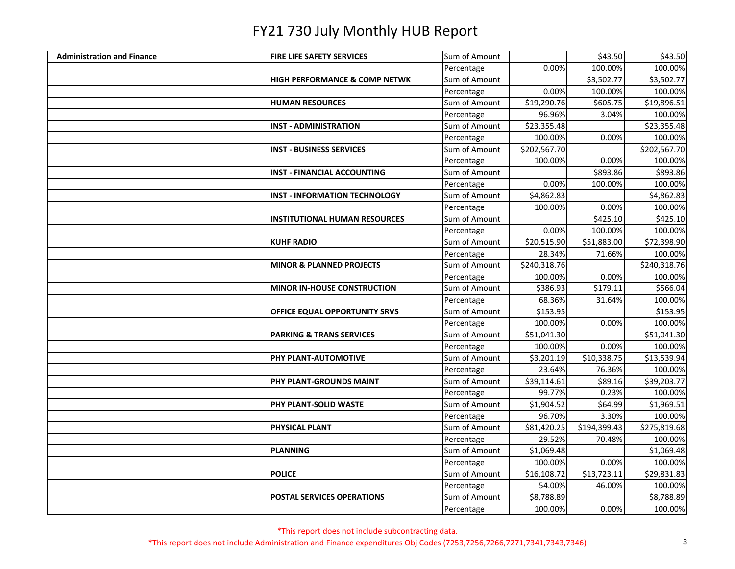| <b>Administration and Finance</b> | <b>FIRE LIFE SAFETY SERVICES</b>         | Sum of Amount |              | \$43.50      | \$43.50      |
|-----------------------------------|------------------------------------------|---------------|--------------|--------------|--------------|
|                                   |                                          | Percentage    | 0.00%        | 100.00%      | 100.00%      |
|                                   | <b>HIGH PERFORMANCE &amp; COMP NETWK</b> | Sum of Amount |              | \$3,502.77   | \$3,502.77   |
|                                   |                                          | Percentage    | 0.00%        | 100.00%      | 100.00%      |
|                                   | <b>HUMAN RESOURCES</b>                   | Sum of Amount | \$19,290.76  | \$605.75     | \$19,896.51  |
|                                   |                                          | Percentage    | 96.96%       | 3.04%        | 100.00%      |
|                                   | <b>INST - ADMINISTRATION</b>             | Sum of Amount | \$23,355.48  |              | \$23,355.48  |
|                                   |                                          | Percentage    | 100.00%      | 0.00%        | 100.00%      |
|                                   | <b>INST - BUSINESS SERVICES</b>          | Sum of Amount | \$202,567.70 |              | \$202,567.70 |
|                                   |                                          | Percentage    | 100.00%      | 0.00%        | 100.00%      |
|                                   | <b>INST - FINANCIAL ACCOUNTING</b>       | Sum of Amount |              | \$893.86     | \$893.86     |
|                                   |                                          | Percentage    | 0.00%        | 100.00%      | 100.00%      |
|                                   | <b>INST - INFORMATION TECHNOLOGY</b>     | Sum of Amount | \$4,862.83   |              | \$4,862.83   |
|                                   |                                          | Percentage    | 100.00%      | 0.00%        | 100.00%      |
|                                   | <b>INSTITUTIONAL HUMAN RESOURCES</b>     | Sum of Amount |              | \$425.10     | \$425.10     |
|                                   |                                          | Percentage    | 0.00%        | 100.00%      | 100.00%      |
|                                   | <b>KUHF RADIO</b>                        | Sum of Amount | \$20,515.90  | \$51,883.00  | \$72,398.90  |
|                                   |                                          | Percentage    | 28.34%       | 71.66%       | 100.00%      |
|                                   | <b>MINOR &amp; PLANNED PROJECTS</b>      | Sum of Amount | \$240,318.76 |              | \$240,318.76 |
|                                   |                                          | Percentage    | 100.00%      | 0.00%        | 100.00%      |
|                                   | MINOR IN-HOUSE CONSTRUCTION              | Sum of Amount | \$386.93     | \$179.11     | \$566.04     |
|                                   |                                          | Percentage    | 68.36%       | 31.64%       | 100.00%      |
|                                   | <b>OFFICE EQUAL OPPORTUNITY SRVS</b>     | Sum of Amount | \$153.95     |              | \$153.95     |
|                                   |                                          | Percentage    | 100.00%      | 0.00%        | 100.00%      |
|                                   | <b>PARKING &amp; TRANS SERVICES</b>      | Sum of Amount | \$51,041.30  |              | \$51,041.30  |
|                                   |                                          | Percentage    | 100.00%      | 0.00%        | 100.00%      |
|                                   | PHY PLANT-AUTOMOTIVE                     | Sum of Amount | \$3,201.19   | \$10,338.75  | \$13,539.94  |
|                                   |                                          | Percentage    | 23.64%       | 76.36%       | 100.00%      |
|                                   | PHY PLANT-GROUNDS MAINT                  | Sum of Amount | \$39,114.61  | \$89.16      | \$39,203.77  |
|                                   |                                          | Percentage    | 99.77%       | 0.23%        | 100.00%      |
|                                   | <b>PHY PLANT-SOLID WASTE</b>             | Sum of Amount | \$1,904.52   | \$64.99      | \$1,969.51   |
|                                   |                                          | Percentage    | 96.70%       | 3.30%        | 100.00%      |
|                                   | <b>PHYSICAL PLANT</b>                    | Sum of Amount | \$81,420.25  | \$194,399.43 | \$275,819.68 |
|                                   |                                          | Percentage    | 29.52%       | 70.48%       | 100.00%      |
|                                   | <b>PLANNING</b>                          | Sum of Amount | \$1,069.48   |              | \$1,069.48   |
|                                   |                                          | Percentage    | 100.00%      | 0.00%        | 100.00%      |
|                                   | <b>POLICE</b>                            | Sum of Amount | \$16,108.72  | \$13,723.11  | \$29,831.83  |
|                                   |                                          | Percentage    | 54.00%       | 46.00%       | 100.00%      |
|                                   | <b>POSTAL SERVICES OPERATIONS</b>        | Sum of Amount | \$8,788.89   |              | \$8,788.89   |
|                                   |                                          | Percentage    | 100.00%      | 0.00%        | 100.00%      |

\*This report does not include subcontracting data.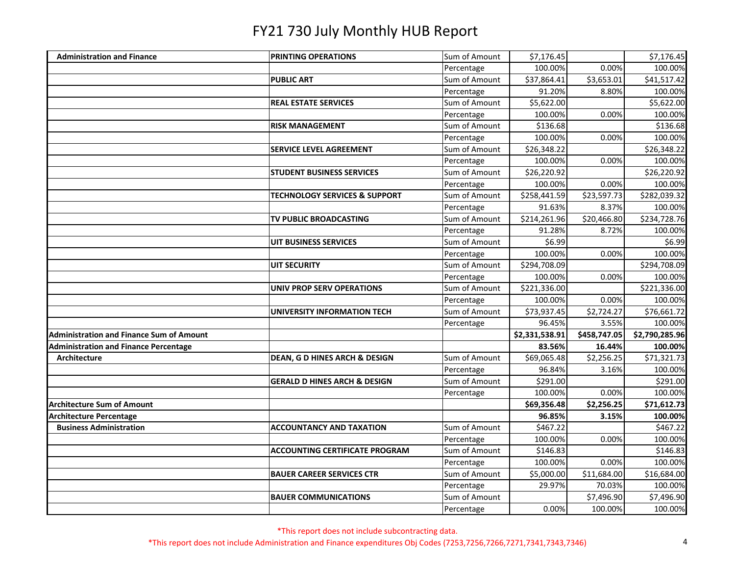| <b>Administration and Finance</b>               | <b>PRINTING OPERATIONS</b>               | Sum of Amount | \$7,176.45     |              | \$7,176.45     |
|-------------------------------------------------|------------------------------------------|---------------|----------------|--------------|----------------|
|                                                 |                                          | Percentage    | 100.00%        | 0.00%        | 100.00%        |
|                                                 | <b>PUBLIC ART</b>                        | Sum of Amount | \$37,864.41    | \$3,653.01   | \$41,517.42    |
|                                                 |                                          | Percentage    | 91.20%         | 8.80%        | 100.00%        |
|                                                 | <b>REAL ESTATE SERVICES</b>              | Sum of Amount | \$5,622.00     |              | \$5,622.00     |
|                                                 |                                          | Percentage    | 100.00%        | 0.00%        | 100.00%        |
|                                                 | <b>RISK MANAGEMENT</b>                   | Sum of Amount | \$136.68       |              | \$136.68       |
|                                                 |                                          | Percentage    | 100.00%        | 0.00%        | 100.00%        |
|                                                 | <b>SERVICE LEVEL AGREEMENT</b>           | Sum of Amount | \$26,348.22    |              | \$26,348.22    |
|                                                 |                                          | Percentage    | 100.00%        | 0.00%        | 100.00%        |
|                                                 | <b>STUDENT BUSINESS SERVICES</b>         | Sum of Amount | \$26,220.92    |              | \$26,220.92    |
|                                                 |                                          | Percentage    | 100.00%        | 0.00%        | 100.00%        |
|                                                 | <b>TECHNOLOGY SERVICES &amp; SUPPORT</b> | Sum of Amount | \$258,441.59   | \$23,597.73  | \$282,039.32   |
|                                                 |                                          | Percentage    | 91.63%         | 8.37%        | 100.00%        |
|                                                 | TV PUBLIC BROADCASTING                   | Sum of Amount | \$214,261.96   | \$20,466.80  | \$234,728.76   |
|                                                 |                                          | Percentage    | 91.28%         | 8.72%        | 100.00%        |
|                                                 | <b>UIT BUSINESS SERVICES</b>             | Sum of Amount | \$6.99         |              | \$6.99         |
|                                                 |                                          | Percentage    | 100.00%        | 0.00%        | 100.00%        |
|                                                 | <b>UIT SECURITY</b>                      | Sum of Amount | \$294,708.09   |              | \$294,708.09   |
|                                                 |                                          | Percentage    | 100.00%        | 0.00%        | 100.00%        |
|                                                 | <b>UNIV PROP SERV OPERATIONS</b>         | Sum of Amount | \$221,336.00   |              | \$221,336.00   |
|                                                 |                                          | Percentage    | 100.00%        | 0.00%        | 100.00%        |
|                                                 | UNIVERSITY INFORMATION TECH              | Sum of Amount | \$73,937.45    | \$2,724.27   | \$76,661.72    |
|                                                 |                                          | Percentage    | 96.45%         | 3.55%        | 100.00%        |
| <b>Administration and Finance Sum of Amount</b> |                                          |               | \$2,331,538.91 | \$458,747.05 | \$2,790,285.96 |
| <b>Administration and Finance Percentage</b>    |                                          |               | 83.56%         | 16.44%       | 100.00%        |
| Architecture                                    | <b>DEAN, G D HINES ARCH &amp; DESIGN</b> | Sum of Amount | \$69,065.48    | \$2,256.25   | \$71,321.73    |
|                                                 |                                          | Percentage    | 96.84%         | 3.16%        | 100.00%        |
|                                                 | <b>GERALD D HINES ARCH &amp; DESIGN</b>  | Sum of Amount | \$291.00       |              | \$291.00       |
|                                                 |                                          | Percentage    | 100.00%        | 0.00%        | 100.00%        |
| Architecture Sum of Amount                      |                                          |               | \$69,356.48    | \$2,256.25   | \$71,612.73    |
| <b>Architecture Percentage</b>                  |                                          |               | 96.85%         | 3.15%        | 100.00%        |
| <b>Business Administration</b>                  | <b>ACCOUNTANCY AND TAXATION</b>          | Sum of Amount | \$467.22       |              | \$467.22       |
|                                                 |                                          | Percentage    | 100.00%        | 0.00%        | 100.00%        |
|                                                 | <b>ACCOUNTING CERTIFICATE PROGRAM</b>    | Sum of Amount | \$146.83       |              | \$146.83       |
|                                                 |                                          | Percentage    | 100.00%        | 0.00%        | 100.00%        |
|                                                 | <b>BAUER CAREER SERVICES CTR</b>         | Sum of Amount | \$5,000.00     | \$11,684.00  | \$16,684.00    |
|                                                 |                                          | Percentage    | 29.97%         | 70.03%       | 100.00%        |
|                                                 | <b>BAUER COMMUNICATIONS</b>              | Sum of Amount |                | \$7,496.90   | \$7,496.90     |
|                                                 |                                          | Percentage    | 0.00%          | 100.00%      | 100.00%        |

\*This report does not include subcontracting data.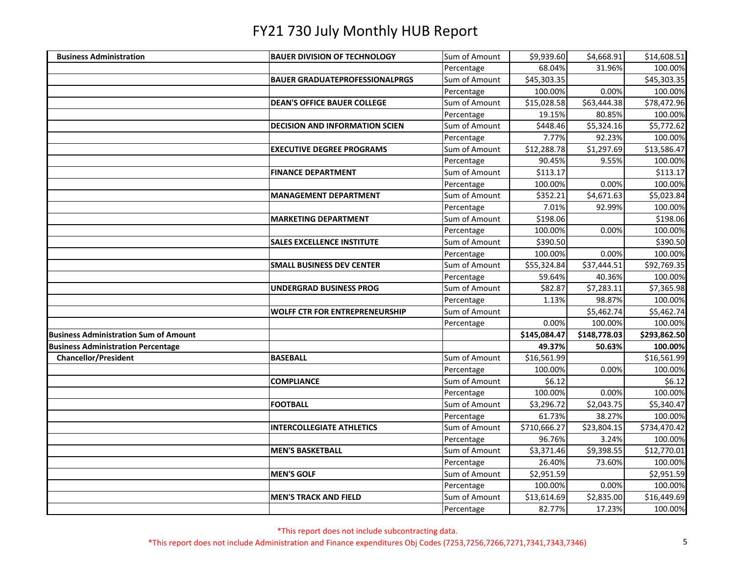| <b>Business Administration</b>               | <b>BAUER DIVISION OF TECHNOLOGY</b>   | Sum of Amount | \$9,939.60   | \$4,668.91   | \$14,608.51  |
|----------------------------------------------|---------------------------------------|---------------|--------------|--------------|--------------|
|                                              |                                       | Percentage    | 68.04%       | 31.96%       | 100.00%      |
|                                              | <b>BAUER GRADUATEPROFESSIONALPRGS</b> | Sum of Amount | \$45,303.35  |              | \$45,303.35  |
|                                              |                                       | Percentage    | 100.00%      | 0.00%        | 100.00%      |
|                                              | <b>DEAN'S OFFICE BAUER COLLEGE</b>    | Sum of Amount | \$15,028.58  | \$63,444.38  | \$78,472.96  |
|                                              |                                       | Percentage    | 19.15%       | 80.85%       | 100.00%      |
|                                              | <b>DECISION AND INFORMATION SCIEN</b> | Sum of Amount | \$448.46     | \$5,324.16   | \$5,772.62   |
|                                              |                                       | Percentage    | 7.77%        | 92.23%       | 100.00%      |
|                                              | <b>EXECUTIVE DEGREE PROGRAMS</b>      | Sum of Amount | \$12,288.78  | \$1,297.69   | \$13,586.47  |
|                                              |                                       | Percentage    | 90.45%       | 9.55%        | 100.00%      |
|                                              | <b>FINANCE DEPARTMENT</b>             | Sum of Amount | \$113.17     |              | \$113.17     |
|                                              |                                       | Percentage    | 100.00%      | 0.00%        | 100.00%      |
|                                              | <b>MANAGEMENT DEPARTMENT</b>          | Sum of Amount | \$352.21     | \$4,671.63   | \$5,023.84   |
|                                              |                                       | Percentage    | 7.01%        | 92.99%       | 100.00%      |
|                                              | <b>MARKETING DEPARTMENT</b>           | Sum of Amount | \$198.06     |              | \$198.06     |
|                                              |                                       | Percentage    | 100.00%      | 0.00%        | 100.00%      |
|                                              | <b>SALES EXCELLENCE INSTITUTE</b>     | Sum of Amount | \$390.50     |              | \$390.50     |
|                                              |                                       | Percentage    | 100.00%      | 0.00%        | 100.00%      |
|                                              | <b>SMALL BUSINESS DEV CENTER</b>      | Sum of Amount | \$55,324.84  | \$37,444.51  | \$92,769.35  |
|                                              |                                       | Percentage    | 59.64%       | 40.36%       | 100.00%      |
|                                              | UNDERGRAD BUSINESS PROG               | Sum of Amount | \$82.87      | \$7,283.11   | \$7,365.98   |
|                                              |                                       | Percentage    | 1.13%        | 98.87%       | 100.00%      |
|                                              | <b>WOLFF CTR FOR ENTREPRENEURSHIP</b> | Sum of Amount |              | \$5,462.74   | \$5,462.74   |
|                                              |                                       | Percentage    | 0.00%        | 100.00%      | 100.00%      |
| <b>Business Administration Sum of Amount</b> |                                       |               | \$145,084.47 | \$148,778.03 | \$293,862.50 |
| <b>Business Administration Percentage</b>    |                                       |               | 49.37%       | 50.63%       | 100.00%      |
| <b>Chancellor/President</b>                  | <b>BASEBALL</b>                       | Sum of Amount | \$16,561.99  |              | \$16,561.99  |
|                                              |                                       | Percentage    | 100.00%      | 0.00%        | 100.00%      |
|                                              | <b>COMPLIANCE</b>                     | Sum of Amount | \$6.12       |              | \$6.12       |
|                                              |                                       | Percentage    | 100.00%      | 0.00%        | 100.00%      |
|                                              | <b>FOOTBALL</b>                       | Sum of Amount | \$3,296.72   | \$2,043.75   | \$5,340.47   |
|                                              |                                       | Percentage    | 61.73%       | 38.27%       | 100.00%      |
|                                              | <b>INTERCOLLEGIATE ATHLETICS</b>      | Sum of Amount | \$710,666.27 | \$23,804.15  | \$734,470.42 |
|                                              |                                       | Percentage    | 96.76%       | 3.24%        | 100.00%      |
|                                              | <b>MEN'S BASKETBALL</b>               | Sum of Amount | \$3,371.46   | \$9,398.55   | \$12,770.01  |
|                                              |                                       | Percentage    | 26.40%       | 73.60%       | 100.00%      |
|                                              | <b>MEN'S GOLF</b>                     | Sum of Amount | \$2,951.59   |              | \$2,951.59   |
|                                              |                                       | Percentage    | 100.00%      | 0.00%        | 100.00%      |
|                                              | <b>MEN'S TRACK AND FIELD</b>          | Sum of Amount | \$13,614.69  | \$2,835.00   | \$16,449.69  |
|                                              |                                       | Percentage    | 82.77%       | 17.23%       | 100.00%      |

\*This report does not include subcontracting data.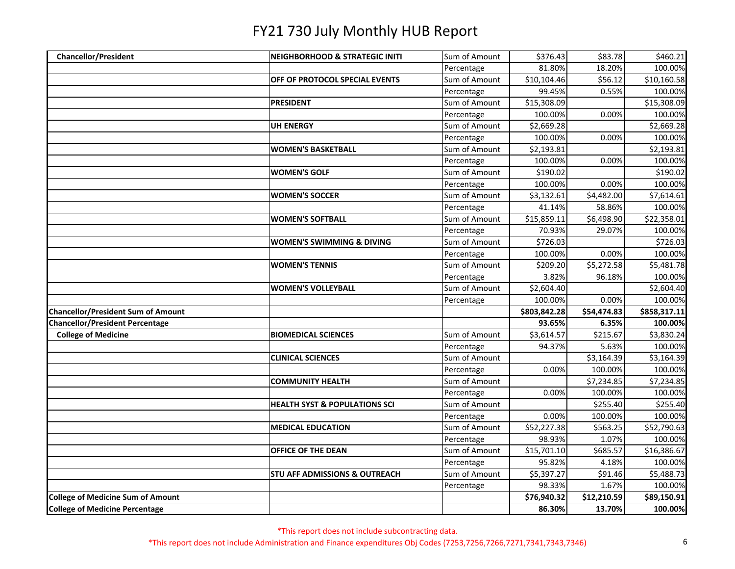| <b>Chancellor/President</b>                                                       | <b>NEIGHBORHOOD &amp; STRATEGIC INITI</b> | Sum of Amount | \$376.43     | \$83.78               | \$460.21               |
|-----------------------------------------------------------------------------------|-------------------------------------------|---------------|--------------|-----------------------|------------------------|
|                                                                                   |                                           | Percentage    | 81.80%       | 18.20%                | 100.00%                |
|                                                                                   | OFF OF PROTOCOL SPECIAL EVENTS            | Sum of Amount | \$10,104.46  | \$56.12               | \$10,160.58            |
|                                                                                   |                                           | Percentage    | 99.45%       | 0.55%                 | 100.00%                |
|                                                                                   | <b>PRESIDENT</b>                          | Sum of Amount | \$15,308.09  |                       | \$15,308.09            |
|                                                                                   |                                           | Percentage    | 100.00%      | 0.00%                 | 100.00%                |
|                                                                                   | <b>UH ENERGY</b>                          | Sum of Amount | \$2,669.28   |                       | \$2,669.28             |
|                                                                                   |                                           | Percentage    | 100.00%      | 0.00%                 | 100.00%                |
|                                                                                   | <b>WOMEN'S BASKETBALL</b>                 | Sum of Amount | \$2,193.81   |                       | \$2,193.81             |
|                                                                                   |                                           | Percentage    | 100.00%      | 0.00%                 | 100.00%                |
|                                                                                   | <b>WOMEN'S GOLF</b>                       | Sum of Amount | \$190.02     |                       | \$190.02               |
|                                                                                   |                                           | Percentage    | 100.00%      | 0.00%                 | 100.00%                |
|                                                                                   | <b>WOMEN'S SOCCER</b>                     | Sum of Amount | \$3,132.61   | \$4,482.00            | \$7,614.61             |
|                                                                                   |                                           | Percentage    | 41.14%       | 58.86%                | 100.00%                |
|                                                                                   | <b>WOMEN'S SOFTBALL</b>                   | Sum of Amount | \$15,859.11  | \$6,498.90            | \$22,358.01            |
|                                                                                   |                                           | Percentage    | 70.93%       | 29.07%                | 100.00%                |
|                                                                                   | <b>WOMEN'S SWIMMING &amp; DIVING</b>      | Sum of Amount | \$726.03     |                       | \$726.03               |
|                                                                                   |                                           | Percentage    | 100.00%      | 0.00%                 | 100.00%                |
|                                                                                   | <b>WOMEN'S TENNIS</b>                     | Sum of Amount | \$209.20     | \$5,272.58            | \$5,481.78             |
|                                                                                   |                                           | Percentage    | 3.82%        | 96.18%                | 100.00%                |
|                                                                                   | <b>WOMEN'S VOLLEYBALL</b>                 | Sum of Amount | \$2,604.40   |                       | \$2,604.40             |
|                                                                                   |                                           | Percentage    | 100.00%      | 0.00%                 | 100.00%                |
| <b>Chancellor/President Sum of Amount</b>                                         |                                           |               | \$803,842.28 | \$54,474.83           | \$858,317.11           |
| <b>Chancellor/President Percentage</b>                                            |                                           |               | 93.65%       | 6.35%                 | 100.00%                |
| <b>College of Medicine</b>                                                        | <b>BIOMEDICAL SCIENCES</b>                | Sum of Amount | \$3,614.57   | \$215.67              | \$3,830.24             |
|                                                                                   |                                           | Percentage    | 94.37%       | 5.63%                 | 100.00%                |
|                                                                                   | <b>CLINICAL SCIENCES</b>                  | Sum of Amount |              | \$3,164.39            | \$3,164.39             |
|                                                                                   |                                           | Percentage    | 0.00%        | 100.00%               | 100.00%                |
|                                                                                   | <b>COMMUNITY HEALTH</b>                   | Sum of Amount |              | \$7,234.85            | \$7,234.85             |
|                                                                                   |                                           | Percentage    | 0.00%        | 100.00%               | 100.00%                |
|                                                                                   | <b>HEALTH SYST &amp; POPULATIONS SCI</b>  | Sum of Amount |              | \$255.40              | \$255.40               |
|                                                                                   |                                           | Percentage    | 0.00%        | 100.00%               | 100.00%                |
|                                                                                   | <b>MEDICAL EDUCATION</b>                  | Sum of Amount | \$52,227.38  | \$563.25              | \$52,790.63            |
|                                                                                   |                                           | Percentage    | 98.93%       | 1.07%                 | 100.00%                |
|                                                                                   |                                           |               |              |                       |                        |
|                                                                                   | OFFICE OF THE DEAN                        | Sum of Amount | \$15,701.10  | \$685.57              | \$16,386.67            |
|                                                                                   |                                           | Percentage    | 95.82%       | 4.18%                 | 100.00%                |
|                                                                                   | <b>STU AFF ADMISSIONS &amp; OUTREACH</b>  | Sum of Amount | \$5,397.27   | \$91.46               | \$5,488.73             |
|                                                                                   |                                           | Percentage    | 98.33%       | 1.67%                 | 100.00%                |
| <b>College of Medicine Sum of Amount</b><br><b>College of Medicine Percentage</b> |                                           |               | \$76,940.32  | \$12,210.59<br>13.70% | \$89,150.91<br>100.00% |

\*This report does not include subcontracting data.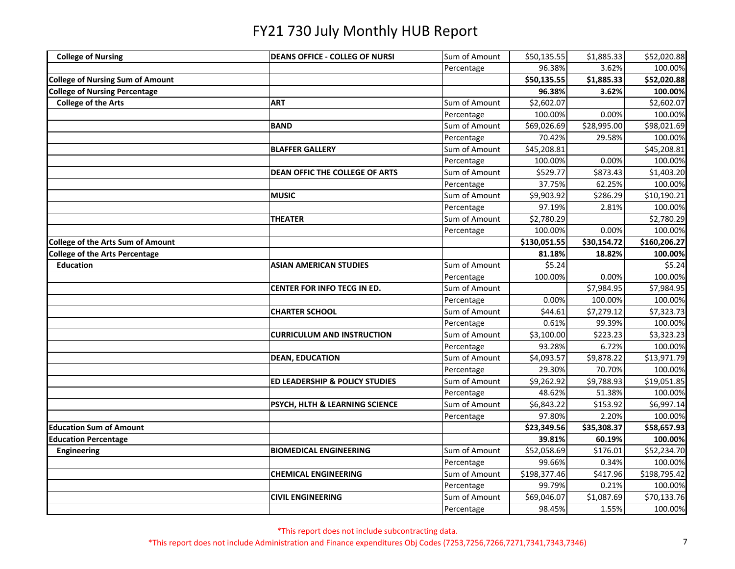| <b>College of Nursing</b>                | <b>DEANS OFFICE - COLLEG OF NURSI</b> | Sum of Amount | \$50,135.55  | \$1,885.33  | \$52,020.88  |
|------------------------------------------|---------------------------------------|---------------|--------------|-------------|--------------|
|                                          |                                       | Percentage    | 96.38%       | 3.62%       | 100.00%      |
| <b>College of Nursing Sum of Amount</b>  |                                       |               | \$50,135.55  | \$1,885.33  | \$52,020.88  |
| <b>College of Nursing Percentage</b>     |                                       |               | 96.38%       | 3.62%       | 100.00%      |
| <b>College of the Arts</b>               | <b>ART</b>                            | Sum of Amount | \$2,602.07   |             | \$2,602.07   |
|                                          |                                       | Percentage    | 100.00%      | 0.00%       | 100.00%      |
|                                          | <b>BAND</b>                           | Sum of Amount | \$69,026.69  | \$28,995.00 | \$98,021.69  |
|                                          |                                       | Percentage    | 70.42%       | 29.58%      | 100.00%      |
|                                          | <b>BLAFFER GALLERY</b>                | Sum of Amount | \$45,208.81  |             | \$45,208.81  |
|                                          |                                       | Percentage    | 100.00%      | 0.00%       | 100.00%      |
|                                          | <b>DEAN OFFIC THE COLLEGE OF ARTS</b> | Sum of Amount | \$529.77     | \$873.43    | \$1,403.20   |
|                                          |                                       | Percentage    | 37.75%       | 62.25%      | 100.00%      |
|                                          | <b>MUSIC</b>                          | Sum of Amount | \$9,903.92   | \$286.29    | \$10,190.21  |
|                                          |                                       | Percentage    | 97.19%       | 2.81%       | 100.00%      |
|                                          | <b>THEATER</b>                        | Sum of Amount | \$2,780.29   |             | \$2,780.29   |
|                                          |                                       | Percentage    | 100.00%      | 0.00%       | 100.00%      |
| <b>College of the Arts Sum of Amount</b> |                                       |               | \$130,051.55 | \$30,154.72 | \$160,206.27 |
| <b>College of the Arts Percentage</b>    |                                       |               | 81.18%       | 18.82%      | 100.00%      |
| <b>Education</b>                         | <b>ASIAN AMERICAN STUDIES</b>         | Sum of Amount | \$5.24       |             | \$5.24       |
|                                          |                                       | Percentage    | 100.00%      | 0.00%       | 100.00%      |
|                                          | CENTER FOR INFO TECG IN ED.           | Sum of Amount |              | \$7,984.95  | \$7,984.95   |
|                                          |                                       | Percentage    | 0.00%        | 100.00%     | 100.00%      |
|                                          | <b>CHARTER SCHOOL</b>                 | Sum of Amount | \$44.61      | \$7,279.12  | \$7,323.73   |
|                                          |                                       | Percentage    | 0.61%        | 99.39%      | 100.00%      |
|                                          | <b>CURRICULUM AND INSTRUCTION</b>     | Sum of Amount | \$3,100.00   | \$223.23    | \$3,323.23   |
|                                          |                                       | Percentage    | 93.28%       | 6.72%       | 100.00%      |
|                                          | <b>DEAN, EDUCATION</b>                | Sum of Amount | \$4,093.57   | \$9,878.22  | \$13,971.79  |
|                                          |                                       | Percentage    | 29.30%       | 70.70%      | 100.00%      |
|                                          | ED LEADERSHIP & POLICY STUDIES        | Sum of Amount | \$9,262.92   | \$9,788.93  | \$19,051.85  |
|                                          |                                       | Percentage    | 48.62%       | 51.38%      | 100.00%      |
|                                          | PSYCH, HLTH & LEARNING SCIENCE        | Sum of Amount | \$6,843.22   | \$153.92    | \$6,997.14   |
|                                          |                                       | Percentage    | 97.80%       | 2.20%       | 100.00%      |
| <b>Education Sum of Amount</b>           |                                       |               | \$23,349.56  | \$35,308.37 | \$58,657.93  |
| <b>Education Percentage</b>              |                                       |               | 39.81%       | 60.19%      | 100.00%      |
| <b>Engineering</b>                       | <b>BIOMEDICAL ENGINEERING</b>         | Sum of Amount | \$52,058.69  | \$176.01    | \$52,234.70  |
|                                          |                                       | Percentage    | 99.66%       | 0.34%       | 100.00%      |
|                                          | <b>CHEMICAL ENGINEERING</b>           | Sum of Amount | \$198,377.46 | \$417.96    | \$198,795.42 |
|                                          |                                       | Percentage    | 99.79%       | 0.21%       | 100.00%      |
|                                          | <b>CIVIL ENGINEERING</b>              | Sum of Amount | \$69,046.07  | \$1,087.69  | \$70,133.76  |
|                                          |                                       | Percentage    | 98.45%       | 1.55%       | 100.00%      |

\*This report does not include subcontracting data.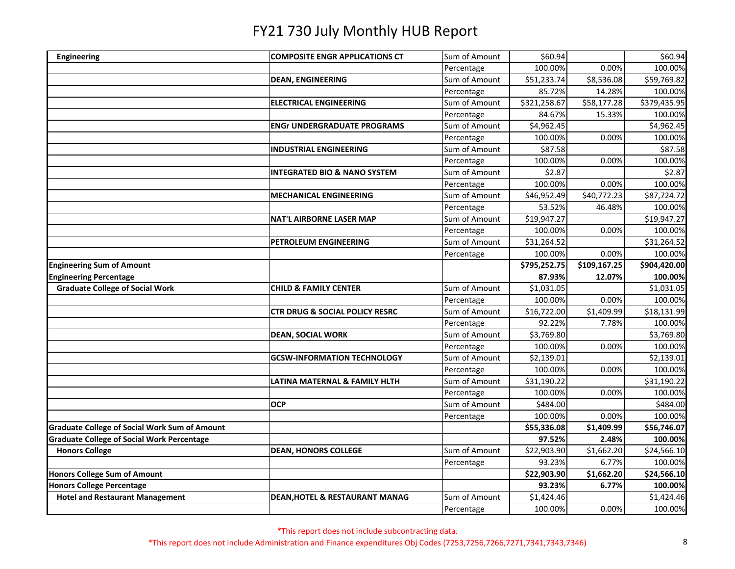| <b>Engineering</b>                                                         | <b>COMPOSITE ENGR APPLICATIONS CT</b>     | Sum of Amount | \$60.94      |              | \$60.94               |
|----------------------------------------------------------------------------|-------------------------------------------|---------------|--------------|--------------|-----------------------|
|                                                                            |                                           | Percentage    | 100.00%      | 0.00%        | 100.00%               |
|                                                                            | <b>DEAN, ENGINEERING</b>                  | Sum of Amount | \$51,233.74  | \$8,536.08   | \$59,769.82           |
|                                                                            |                                           | Percentage    | 85.72%       | 14.28%       | 100.00%               |
|                                                                            | <b>ELECTRICAL ENGINEERING</b>             | Sum of Amount | \$321,258.67 | \$58,177.28  | \$379,435.95          |
|                                                                            |                                           | Percentage    | 84.67%       | 15.33%       | 100.00%               |
|                                                                            | <b>ENGr UNDERGRADUATE PROGRAMS</b>        | Sum of Amount | \$4,962.45   |              | \$4,962.45            |
|                                                                            |                                           | Percentage    | 100.00%      | 0.00%        | 100.00%               |
|                                                                            | <b>INDUSTRIAL ENGINEERING</b>             | Sum of Amount | \$87.58      |              | \$87.58               |
|                                                                            |                                           | Percentage    | 100.00%      | 0.00%        | 100.00%               |
|                                                                            | <b>INTEGRATED BIO &amp; NANO SYSTEM</b>   | Sum of Amount | \$2.87       |              | \$2.87                |
|                                                                            |                                           | Percentage    | 100.00%      | 0.00%        | 100.00%               |
|                                                                            | <b>MECHANICAL ENGINEERING</b>             | Sum of Amount | \$46,952.49  | \$40,772.23  | \$87,724.72           |
|                                                                            |                                           | Percentage    | 53.52%       | 46.48%       | 100.00%               |
|                                                                            | <b>NAT'L AIRBORNE LASER MAP</b>           | Sum of Amount | \$19,947.27  |              | \$19,947.27           |
|                                                                            |                                           | Percentage    | 100.00%      | 0.00%        | 100.00%               |
|                                                                            | PETROLEUM ENGINEERING                     | Sum of Amount | \$31,264.52  |              | \$31,264.52           |
|                                                                            |                                           | Percentage    | 100.00%      | 0.00%        | 100.00%               |
| <b>Engineering Sum of Amount</b>                                           |                                           |               | \$795,252.75 | \$109,167.25 | \$904,420.00          |
| <b>Engineering Percentage</b>                                              |                                           |               | 87.93%       | 12.07%       | 100.00%               |
| <b>Graduate College of Social Work</b>                                     | <b>CHILD &amp; FAMILY CENTER</b>          | Sum of Amount | \$1,031.05   |              | \$1,031.05            |
|                                                                            |                                           | Percentage    | 100.00%      | 0.00%        | 100.00%               |
|                                                                            | <b>CTR DRUG &amp; SOCIAL POLICY RESRC</b> | Sum of Amount | \$16,722.00  | \$1,409.99   | \$18,131.99           |
|                                                                            |                                           | Percentage    | 92.22%       | 7.78%        | 100.00%               |
|                                                                            | <b>DEAN, SOCIAL WORK</b>                  | Sum of Amount | \$3,769.80   |              | \$3,769.80            |
|                                                                            |                                           | Percentage    | 100.00%      | 0.00%        | 100.00%               |
|                                                                            | <b>GCSW-INFORMATION TECHNOLOGY</b>        | Sum of Amount | \$2,139.01   |              | \$2,139.01            |
|                                                                            |                                           | Percentage    | 100.00%      | 0.00%        | 100.00%               |
|                                                                            | LATINA MATERNAL & FAMILY HLTH             | Sum of Amount | \$31,190.22  |              | \$31,190.22           |
|                                                                            |                                           | Percentage    | 100.00%      | 0.00%        | 100.00%               |
|                                                                            | <b>OCP</b>                                | Sum of Amount | \$484.00     |              | \$484.00              |
|                                                                            |                                           | Percentage    | 100.00%      | 0.00%        | 100.00%               |
| <b>Graduate College of Social Work Sum of Amount</b>                       |                                           |               | \$55,336.08  | \$1,409.99   | \$56,746.07           |
|                                                                            |                                           |               |              |              |                       |
|                                                                            |                                           |               | 97.52%       | 2.48%        | 100.00%               |
| <b>Graduate College of Social Work Percentage</b><br><b>Honors College</b> | <b>DEAN, HONORS COLLEGE</b>               | Sum of Amount | \$22,903.90  | \$1,662.20   | \$24,566.10           |
|                                                                            |                                           | Percentage    | 93.23%       | 6.77%        | 100.00%               |
| <b>Honors College Sum of Amount</b>                                        |                                           |               | \$22,903.90  | \$1,662.20   | \$24,566.10           |
| <b>Honors College Percentage</b>                                           |                                           |               | 93.23%       | 6.77%        | 100.00%               |
| <b>Hotel and Restaurant Management</b>                                     | DEAN, HOTEL & RESTAURANT MANAG            | Sum of Amount | \$1,424.46   | 0.00%        | \$1,424.46<br>100.00% |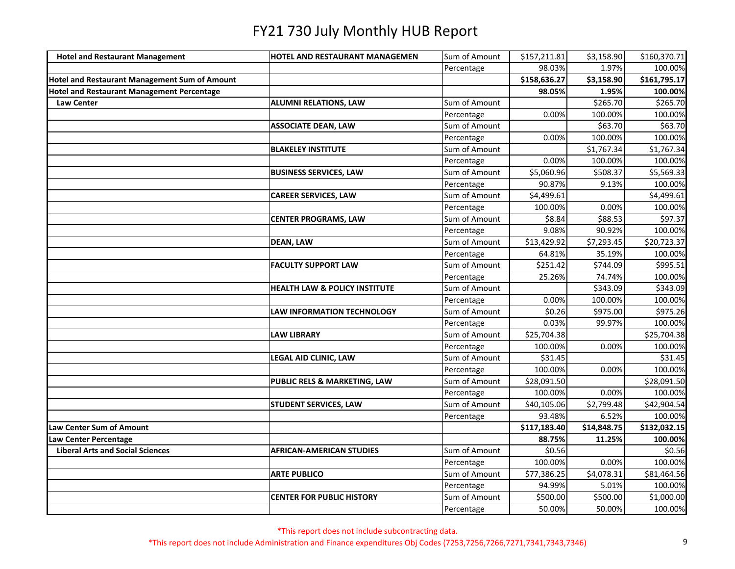| <b>Hotel and Restaurant Management</b>               | HOTEL AND RESTAURANT MANAGEMEN           | Sum of Amount | \$157,211.81 | \$3,158.90  | \$160,370.71 |
|------------------------------------------------------|------------------------------------------|---------------|--------------|-------------|--------------|
|                                                      |                                          | Percentage    | 98.03%       | 1.97%       | 100.00%      |
| <b>Hotel and Restaurant Management Sum of Amount</b> |                                          |               | \$158,636.27 | \$3,158.90  | \$161,795.17 |
| <b>Hotel and Restaurant Management Percentage</b>    |                                          |               | 98.05%       | 1.95%       | 100.00%      |
| <b>Law Center</b>                                    | <b>ALUMNI RELATIONS, LAW</b>             | Sum of Amount |              | \$265.70    | \$265.70     |
|                                                      |                                          | Percentage    | 0.00%        | 100.00%     | 100.00%      |
|                                                      | <b>ASSOCIATE DEAN, LAW</b>               | Sum of Amount |              | \$63.70     | \$63.70      |
|                                                      |                                          | Percentage    | 0.00%        | 100.00%     | 100.00%      |
|                                                      | <b>BLAKELEY INSTITUTE</b>                | Sum of Amount |              | \$1,767.34  | \$1,767.34   |
|                                                      |                                          | Percentage    | 0.00%        | 100.00%     | 100.00%      |
|                                                      | <b>BUSINESS SERVICES, LAW</b>            | Sum of Amount | \$5,060.96   | \$508.37    | \$5,569.33   |
|                                                      |                                          | Percentage    | 90.87%       | 9.13%       | 100.00%      |
|                                                      | <b>CAREER SERVICES, LAW</b>              | Sum of Amount | \$4,499.61   |             | \$4,499.61   |
|                                                      |                                          | Percentage    | 100.00%      | 0.00%       | 100.00%      |
|                                                      | <b>CENTER PROGRAMS, LAW</b>              | Sum of Amount | \$8.84       | \$88.53     | \$97.37      |
|                                                      |                                          | Percentage    | 9.08%        | 90.92%      | 100.00%      |
|                                                      | <b>DEAN, LAW</b>                         | Sum of Amount | \$13,429.92  | \$7,293.45  | \$20,723.37  |
|                                                      |                                          | Percentage    | 64.81%       | 35.19%      | 100.00%      |
|                                                      | <b>FACULTY SUPPORT LAW</b>               | Sum of Amount | \$251.42     | \$744.09    | \$995.51     |
|                                                      |                                          | Percentage    | 25.26%       | 74.74%      | 100.00%      |
|                                                      | <b>HEALTH LAW &amp; POLICY INSTITUTE</b> | Sum of Amount |              | \$343.09    | \$343.09     |
|                                                      |                                          | Percentage    | 0.00%        | 100.00%     | 100.00%      |
|                                                      | LAW INFORMATION TECHNOLOGY               | Sum of Amount | \$0.26       | \$975.00    | \$975.26     |
|                                                      |                                          | Percentage    | 0.03%        | 99.97%      | 100.00%      |
|                                                      | <b>LAW LIBRARY</b>                       | Sum of Amount | \$25,704.38  |             | \$25,704.38  |
|                                                      |                                          | Percentage    | 100.00%      | 0.00%       | 100.00%      |
|                                                      | <b>LEGAL AID CLINIC, LAW</b>             | Sum of Amount | \$31.45      |             | \$31.45      |
|                                                      |                                          | Percentage    | 100.00%      | 0.00%       | 100.00%      |
|                                                      | PUBLIC RELS & MARKETING, LAW             | Sum of Amount | \$28,091.50  |             | \$28,091.50  |
|                                                      |                                          | Percentage    | 100.00%      | 0.00%       | 100.00%      |
|                                                      | <b>STUDENT SERVICES, LAW</b>             | Sum of Amount | \$40,105.06  | \$2,799.48  | \$42,904.54  |
|                                                      |                                          | Percentage    | 93.48%       | 6.52%       | 100.00%      |
| Law Center Sum of Amount                             |                                          |               | \$117,183.40 | \$14,848.75 | \$132,032.15 |
| Law Center Percentage                                |                                          |               | 88.75%       | 11.25%      | 100.00%      |
| <b>Liberal Arts and Social Sciences</b>              | <b>AFRICAN-AMERICAN STUDIES</b>          | Sum of Amount | \$0.56       |             | \$0.56       |
|                                                      |                                          | Percentage    | 100.00%      | 0.00%       | 100.00%      |
|                                                      | <b>ARTE PUBLICO</b>                      | Sum of Amount | \$77,386.25  | \$4,078.31  | \$81,464.56  |
|                                                      |                                          | Percentage    | 94.99%       | 5.01%       | 100.00%      |
|                                                      | <b>CENTER FOR PUBLIC HISTORY</b>         | Sum of Amount | \$500.00     | \$500.00    | \$1,000.00   |
|                                                      |                                          | Percentage    | 50.00%       | 50.00%      | 100.00%      |

\*This report does not include subcontracting data.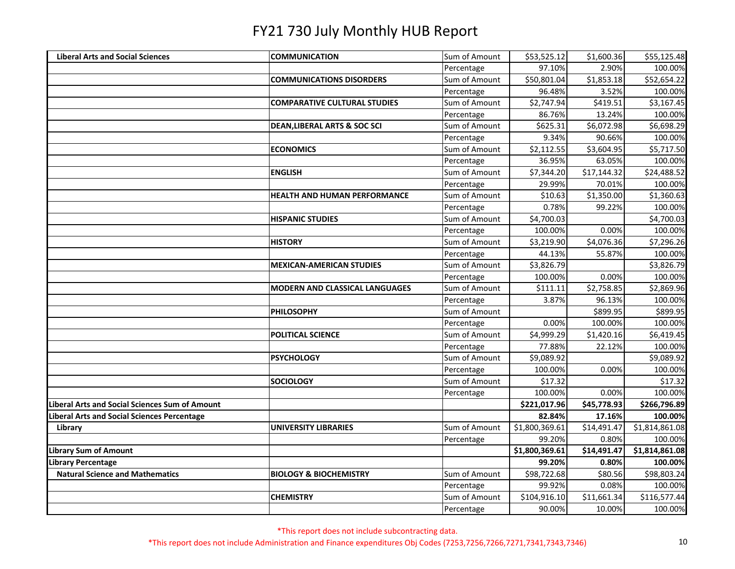| <b>Liberal Arts and Social Sciences</b>        | <b>COMMUNICATION</b>                    | Sum of Amount | \$53,525.12    | \$1,600.36  | \$55,125.48    |
|------------------------------------------------|-----------------------------------------|---------------|----------------|-------------|----------------|
|                                                |                                         | Percentage    | 97.10%         | 2.90%       | 100.00%        |
|                                                | <b>COMMUNICATIONS DISORDERS</b>         | Sum of Amount | \$50,801.04    | \$1,853.18  | \$52,654.22    |
|                                                |                                         | Percentage    | 96.48%         | 3.52%       | 100.00%        |
|                                                | <b>COMPARATIVE CULTURAL STUDIES</b>     | Sum of Amount | \$2,747.94     | \$419.51    | \$3,167.45     |
|                                                |                                         | Percentage    | 86.76%         | 13.24%      | 100.00%        |
|                                                | <b>DEAN, LIBERAL ARTS &amp; SOC SCI</b> | Sum of Amount | \$625.31       | \$6,072.98  | \$6,698.29     |
|                                                |                                         | Percentage    | 9.34%          | 90.66%      | 100.00%        |
|                                                | <b>ECONOMICS</b>                        | Sum of Amount | \$2,112.55     | \$3,604.95  | \$5,717.50     |
|                                                |                                         | Percentage    | 36.95%         | 63.05%      | 100.00%        |
|                                                | <b>ENGLISH</b>                          | Sum of Amount | \$7,344.20     | \$17,144.32 | \$24,488.52    |
|                                                |                                         | Percentage    | 29.99%         | 70.01%      | 100.00%        |
|                                                | <b>HEALTH AND HUMAN PERFORMANCE</b>     | Sum of Amount | \$10.63        | \$1,350.00  | \$1,360.63     |
|                                                |                                         | Percentage    | 0.78%          | 99.22%      | 100.00%        |
|                                                | <b>HISPANIC STUDIES</b>                 | Sum of Amount | \$4,700.03     |             | \$4,700.03     |
|                                                |                                         | Percentage    | 100.00%        | 0.00%       | 100.00%        |
|                                                | <b>HISTORY</b>                          | Sum of Amount | \$3,219.90     | \$4,076.36  | \$7,296.26     |
|                                                |                                         | Percentage    | 44.13%         | 55.87%      | 100.00%        |
|                                                | <b>MEXICAN-AMERICAN STUDIES</b>         | Sum of Amount | \$3,826.79     |             | \$3,826.79     |
|                                                |                                         | Percentage    | 100.00%        | 0.00%       | 100.00%        |
|                                                | <b>MODERN AND CLASSICAL LANGUAGES</b>   | Sum of Amount | \$111.11       | \$2,758.85  | \$2,869.96     |
|                                                |                                         | Percentage    | 3.87%          | 96.13%      | 100.00%        |
|                                                | <b>PHILOSOPHY</b>                       | Sum of Amount |                | \$899.95    | \$899.95       |
|                                                |                                         | Percentage    | 0.00%          | 100.00%     | 100.00%        |
|                                                | <b>POLITICAL SCIENCE</b>                | Sum of Amount | \$4,999.29     | \$1,420.16  | \$6,419.45     |
|                                                |                                         | Percentage    | 77.88%         | 22.12%      | 100.00%        |
|                                                | <b>PSYCHOLOGY</b>                       | Sum of Amount | \$9,089.92     |             | \$9,089.92     |
|                                                |                                         | Percentage    | 100.00%        | 0.00%       | 100.00%        |
|                                                | <b>SOCIOLOGY</b>                        | Sum of Amount | \$17.32        |             | \$17.32        |
|                                                |                                         | Percentage    | 100.00%        | 0.00%       | 100.00%        |
| Liberal Arts and Social Sciences Sum of Amount |                                         |               | \$221,017.96   | \$45,778.93 | \$266,796.89   |
| Liberal Arts and Social Sciences Percentage    |                                         |               | 82.84%         | 17.16%      | 100.00%        |
| Library                                        | <b>UNIVERSITY LIBRARIES</b>             | Sum of Amount | \$1,800,369.61 | \$14,491.47 | \$1,814,861.08 |
|                                                |                                         | Percentage    | 99.20%         | 0.80%       | 100.00%        |
| <b>Library Sum of Amount</b>                   |                                         |               | \$1,800,369.61 | \$14,491.47 | \$1,814,861.08 |
| <b>Library Percentage</b>                      |                                         |               | 99.20%         | 0.80%       | 100.00%        |
| <b>Natural Science and Mathematics</b>         | <b>BIOLOGY &amp; BIOCHEMISTRY</b>       | Sum of Amount | \$98,722.68    | \$80.56     | \$98,803.24    |
|                                                |                                         | Percentage    | 99.92%         | 0.08%       | 100.00%        |
|                                                | <b>CHEMISTRY</b>                        | Sum of Amount | \$104,916.10   | \$11,661.34 | \$116,577.44   |
|                                                |                                         | Percentage    | 90.00%         | 10.00%      | 100.00%        |

\*This report does not include subcontracting data.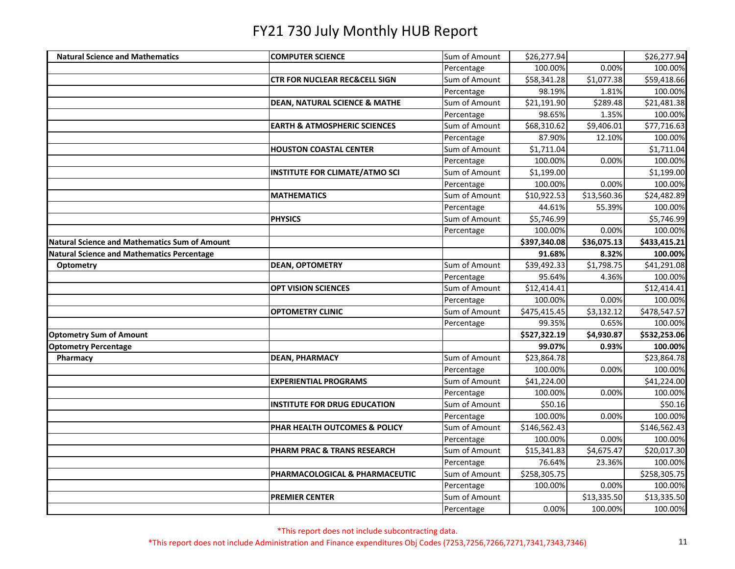| <b>Natural Science and Mathematics</b>               | <b>COMPUTER SCIENCE</b>                  | Sum of Amount | \$26,277.94  |             | \$26,277.94  |
|------------------------------------------------------|------------------------------------------|---------------|--------------|-------------|--------------|
|                                                      |                                          | Percentage    | 100.00%      | 0.00%       | 100.00%      |
|                                                      | <b>CTR FOR NUCLEAR REC&amp;CELL SIGN</b> | Sum of Amount | \$58,341.28  | \$1,077.38  | \$59,418.66  |
|                                                      |                                          | Percentage    | 98.19%       | 1.81%       | 100.00%      |
|                                                      | <b>DEAN, NATURAL SCIENCE &amp; MATHE</b> | Sum of Amount | \$21,191.90  | \$289.48    | \$21,481.38  |
|                                                      |                                          | Percentage    | 98.65%       | 1.35%       | 100.00%      |
|                                                      | <b>EARTH &amp; ATMOSPHERIC SCIENCES</b>  | Sum of Amount | \$68,310.62  | \$9,406.01  | \$77,716.63  |
|                                                      |                                          | Percentage    | 87.90%       | 12.10%      | 100.00%      |
|                                                      | <b>HOUSTON COASTAL CENTER</b>            | Sum of Amount | \$1,711.04   |             | \$1,711.04   |
|                                                      |                                          | Percentage    | 100.00%      | 0.00%       | 100.00%      |
|                                                      | <b>INSTITUTE FOR CLIMATE/ATMO SCI</b>    | Sum of Amount | \$1,199.00   |             | \$1,199.00   |
|                                                      |                                          | Percentage    | 100.00%      | 0.00%       | 100.00%      |
|                                                      | <b>MATHEMATICS</b>                       | Sum of Amount | \$10,922.53  | \$13,560.36 | \$24,482.89  |
|                                                      |                                          | Percentage    | 44.61%       | 55.39%      | 100.00%      |
|                                                      | <b>PHYSICS</b>                           | Sum of Amount | \$5,746.99   |             | \$5,746.99   |
|                                                      |                                          | Percentage    | 100.00%      | 0.00%       | 100.00%      |
| <b>Natural Science and Mathematics Sum of Amount</b> |                                          |               | \$397,340.08 | \$36,075.13 | \$433,415.21 |
| <b>Natural Science and Mathematics Percentage</b>    |                                          |               | 91.68%       | 8.32%       | 100.00%      |
| Optometry                                            | <b>DEAN, OPTOMETRY</b>                   | Sum of Amount | \$39,492.33  | \$1,798.75  | \$41,291.08  |
|                                                      |                                          | Percentage    | 95.64%       | 4.36%       | 100.00%      |
|                                                      | <b>OPT VISION SCIENCES</b>               | Sum of Amount | \$12,414.41  |             | \$12,414.41  |
|                                                      |                                          | Percentage    | 100.00%      | 0.00%       | 100.00%      |
|                                                      | <b>OPTOMETRY CLINIC</b>                  | Sum of Amount | \$475,415.45 | \$3,132.12  | \$478,547.57 |
|                                                      |                                          | Percentage    | 99.35%       | 0.65%       | 100.00%      |
| <b>Optometry Sum of Amount</b>                       |                                          |               | \$527,322.19 | \$4,930.87  | \$532,253.06 |
| <b>Optometry Percentage</b>                          |                                          |               | 99.07%       | 0.93%       | 100.00%      |
| Pharmacy                                             | <b>DEAN, PHARMACY</b>                    | Sum of Amount | \$23,864.78  |             | \$23,864.78  |
|                                                      |                                          | Percentage    | 100.00%      | 0.00%       | 100.00%      |
|                                                      | <b>EXPERIENTIAL PROGRAMS</b>             | Sum of Amount | \$41,224.00  |             | \$41,224.00  |
|                                                      |                                          | Percentage    | 100.00%      | 0.00%       | 100.00%      |
|                                                      | <b>INSTITUTE FOR DRUG EDUCATION</b>      | Sum of Amount | \$50.16      |             | \$50.16      |
|                                                      |                                          | Percentage    | 100.00%      | 0.00%       | 100.00%      |
|                                                      | PHAR HEALTH OUTCOMES & POLICY            | Sum of Amount | \$146,562.43 |             | \$146,562.43 |
|                                                      |                                          | Percentage    | 100.00%      | 0.00%       | 100.00%      |
|                                                      | PHARM PRAC & TRANS RESEARCH              | Sum of Amount | \$15,341.83  | \$4,675.47  | \$20,017.30  |
|                                                      |                                          | Percentage    | 76.64%       | 23.36%      | 100.00%      |
|                                                      | PHARMACOLOGICAL & PHARMACEUTIC           | Sum of Amount | \$258,305.75 |             | \$258,305.75 |
|                                                      |                                          | Percentage    | 100.00%      | 0.00%       | 100.00%      |
|                                                      | <b>PREMIER CENTER</b>                    | Sum of Amount |              | \$13,335.50 | \$13,335.50  |
|                                                      |                                          | Percentage    | 0.00%        | 100.00%     | 100.00%      |

\*This report does not include subcontracting data.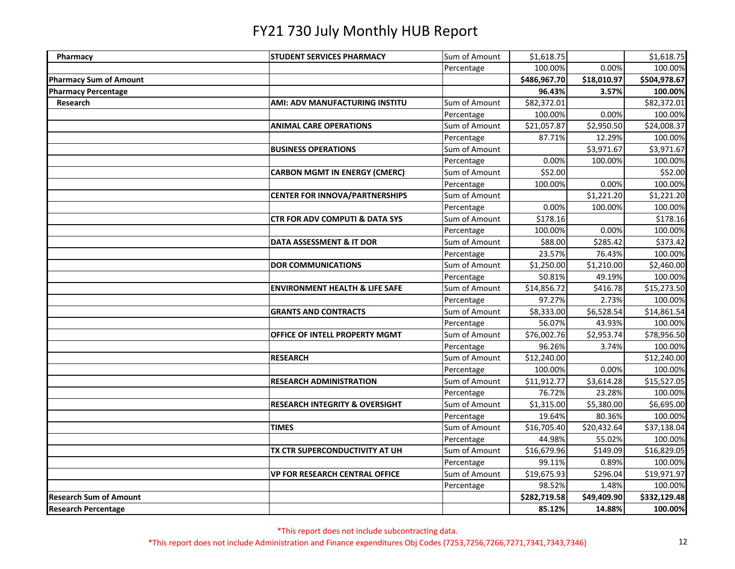| Pharmacy                      | <b>STUDENT SERVICES PHARMACY</b>          | Sum of Amount | \$1,618.75   |             | \$1,618.75   |
|-------------------------------|-------------------------------------------|---------------|--------------|-------------|--------------|
|                               |                                           | Percentage    | 100.00%      | 0.00%       | 100.00%      |
| <b>Pharmacy Sum of Amount</b> |                                           |               | \$486,967.70 | \$18,010.97 | \$504,978.67 |
| <b>Pharmacy Percentage</b>    |                                           |               | 96.43%       | 3.57%       | 100.00%      |
| Research                      | AMI: ADV MANUFACTURING INSTITU            | Sum of Amount | \$82,372.01  |             | \$82,372.01  |
|                               |                                           | Percentage    | 100.00%      | 0.00%       | 100.00%      |
|                               | <b>ANIMAL CARE OPERATIONS</b>             | Sum of Amount | \$21,057.87  | \$2,950.50  | \$24,008.37  |
|                               |                                           | Percentage    | 87.71%       | 12.29%      | 100.00%      |
|                               | <b>BUSINESS OPERATIONS</b>                | Sum of Amount |              | \$3,971.67  | \$3,971.67   |
|                               |                                           | Percentage    | 0.00%        | 100.00%     | 100.00%      |
|                               | <b>CARBON MGMT IN ENERGY (CMERC)</b>      | Sum of Amount | \$52.00      |             | \$52.00      |
|                               |                                           | Percentage    | 100.00%      | 0.00%       | 100.00%      |
|                               | <b>CENTER FOR INNOVA/PARTNERSHIPS</b>     | Sum of Amount |              | \$1,221.20  | \$1,221.20   |
|                               |                                           | Percentage    | 0.00%        | 100.00%     | 100.00%      |
|                               | <b>CTR FOR ADV COMPUTI &amp; DATA SYS</b> | Sum of Amount | \$178.16     |             | \$178.16     |
|                               |                                           | Percentage    | 100.00%      | 0.00%       | 100.00%      |
|                               | DATA ASSESSMENT & IT DOR                  | Sum of Amount | \$88.00      | \$285.42    | \$373.42     |
|                               |                                           | Percentage    | 23.57%       | 76.43%      | 100.00%      |
|                               | <b>DOR COMMUNICATIONS</b>                 | Sum of Amount | \$1,250.00   | \$1,210.00  | \$2,460.00   |
|                               |                                           | Percentage    | 50.81%       | 49.19%      | 100.00%      |
|                               | <b>ENVIRONMENT HEALTH &amp; LIFE SAFE</b> | Sum of Amount | \$14,856.72  | \$416.78    | \$15,273.50  |
|                               |                                           | Percentage    | 97.27%       | 2.73%       | 100.00%      |
|                               | <b>GRANTS AND CONTRACTS</b>               | Sum of Amount | \$8,333.00   | \$6,528.54  | \$14,861.54  |
|                               |                                           | Percentage    | 56.07%       | 43.93%      | 100.00%      |
|                               | OFFICE OF INTELL PROPERTY MGMT            | Sum of Amount | \$76,002.76  | \$2,953.74  | \$78,956.50  |
|                               |                                           | Percentage    | 96.26%       | 3.74%       | 100.00%      |
|                               | <b>RESEARCH</b>                           | Sum of Amount | \$12,240.00  |             | \$12,240.00  |
|                               |                                           | Percentage    | 100.00%      | 0.00%       | 100.00%      |
|                               | <b>RESEARCH ADMINISTRATION</b>            | Sum of Amount | \$11,912.77  | \$3,614.28  | \$15,527.05  |
|                               |                                           | Percentage    | 76.72%       | 23.28%      | 100.00%      |
|                               | <b>RESEARCH INTEGRITY &amp; OVERSIGHT</b> | Sum of Amount | \$1,315.00   | \$5,380.00  | \$6,695.00   |
|                               |                                           | Percentage    | 19.64%       | 80.36%      | 100.00%      |
|                               | <b>TIMES</b>                              | Sum of Amount | \$16,705.40  | \$20,432.64 | \$37,138.04  |
|                               |                                           | Percentage    | 44.98%       | 55.02%      | 100.00%      |
|                               | TX CTR SUPERCONDUCTIVITY AT UH            | Sum of Amount | \$16,679.96  | \$149.09    | \$16,829.05  |
|                               |                                           | Percentage    | 99.11%       | 0.89%       | 100.00%      |
|                               | <b>VP FOR RESEARCH CENTRAL OFFICE</b>     | Sum of Amount | \$19,675.93  | \$296.04    | \$19,971.97  |
|                               |                                           | Percentage    | 98.52%       | 1.48%       | 100.00%      |
| <b>Research Sum of Amount</b> |                                           |               | \$282,719.58 | \$49,409.90 | \$332,129.48 |
| <b>Research Percentage</b>    |                                           |               | 85.12%       | 14.88%      | 100.00%      |

\*This report does not include subcontracting data.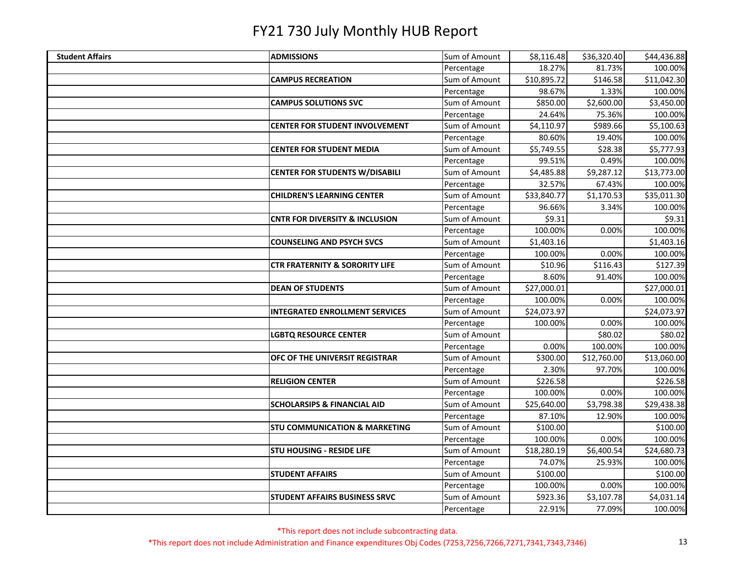| <b>Student Affairs</b> | <b>ADMISSIONS</b>                         | Sum of Amount | \$8,116.48  | \$36,320.40 | \$44,436.88 |
|------------------------|-------------------------------------------|---------------|-------------|-------------|-------------|
|                        |                                           | Percentage    | 18.27%      | 81.73%      | 100.00%     |
|                        | <b>CAMPUS RECREATION</b>                  | Sum of Amount | \$10,895.72 | \$146.58    | \$11,042.30 |
|                        |                                           | Percentage    | 98.67%      | 1.33%       | 100.00%     |
|                        | <b>CAMPUS SOLUTIONS SVC</b>               | Sum of Amount | \$850.00    | \$2,600.00  | \$3,450.00  |
|                        |                                           | Percentage    | 24.64%      | 75.36%      | 100.00%     |
|                        | <b>CENTER FOR STUDENT INVOLVEMENT</b>     | Sum of Amount | \$4,110.97  | \$989.66    | \$5,100.63  |
|                        |                                           | Percentage    | 80.60%      | 19.40%      | 100.00%     |
|                        | <b>CENTER FOR STUDENT MEDIA</b>           | Sum of Amount | \$5,749.55  | \$28.38     | \$5,777.93  |
|                        |                                           | Percentage    | 99.51%      | 0.49%       | 100.00%     |
|                        | <b>CENTER FOR STUDENTS W/DISABILI</b>     | Sum of Amount | \$4,485.88  | \$9,287.12  | \$13,773.00 |
|                        |                                           | Percentage    | 32.57%      | 67.43%      | 100.00%     |
|                        | <b>CHILDREN'S LEARNING CENTER</b>         | Sum of Amount | \$33,840.77 | \$1,170.53  | \$35,011.30 |
|                        |                                           | Percentage    | 96.66%      | 3.34%       | 100.00%     |
|                        | <b>CNTR FOR DIVERSITY &amp; INCLUSION</b> | Sum of Amount | \$9.31      |             | \$9.31      |
|                        |                                           | Percentage    | 100.00%     | 0.00%       | 100.00%     |
|                        | <b>COUNSELING AND PSYCH SVCS</b>          | Sum of Amount | \$1,403.16  |             | \$1,403.16  |
|                        |                                           | Percentage    | 100.00%     | 0.00%       | 100.00%     |
|                        | <b>CTR FRATERNITY &amp; SORORITY LIFE</b> | Sum of Amount | \$10.96     | \$116.43    | \$127.39    |
|                        |                                           | Percentage    | 8.60%       | 91.40%      | 100.00%     |
|                        | <b>DEAN OF STUDENTS</b>                   | Sum of Amount | \$27,000.01 |             | \$27,000.01 |
|                        |                                           | Percentage    | 100.00%     | 0.00%       | 100.00%     |
|                        | <b>INTEGRATED ENROLLMENT SERVICES</b>     | Sum of Amount | \$24,073.97 |             | \$24,073.97 |
|                        |                                           | Percentage    | 100.00%     | 0.00%       | 100.00%     |
|                        | <b>LGBTQ RESOURCE CENTER</b>              | Sum of Amount |             | \$80.02     | \$80.02     |
|                        |                                           | Percentage    | 0.00%       | 100.00%     | 100.00%     |
|                        | OFC OF THE UNIVERSIT REGISTRAR            | Sum of Amount | \$300.00    | \$12,760.00 | \$13,060.00 |
|                        |                                           | Percentage    | 2.30%       | 97.70%      | 100.00%     |
|                        | <b>RELIGION CENTER</b>                    | Sum of Amount | \$226.58    |             | \$226.58    |
|                        |                                           | Percentage    | 100.00%     | 0.00%       | 100.00%     |
|                        | <b>SCHOLARSIPS &amp; FINANCIAL AID</b>    | Sum of Amount | \$25,640.00 | \$3,798.38  | \$29,438.38 |
|                        |                                           | Percentage    | 87.10%      | 12.90%      | 100.00%     |
|                        | <b>STU COMMUNICATION &amp; MARKETING</b>  | Sum of Amount | \$100.00    |             | \$100.00    |
|                        |                                           | Percentage    | 100.00%     | 0.00%       | 100.00%     |
|                        | <b>STU HOUSING - RESIDE LIFE</b>          | Sum of Amount | \$18,280.19 | \$6,400.54  | \$24,680.73 |
|                        |                                           | Percentage    | 74.07%      | 25.93%      | 100.00%     |
|                        | <b>STUDENT AFFAIRS</b>                    | Sum of Amount | \$100.00    |             | \$100.00    |
|                        |                                           | Percentage    | 100.00%     | 0.00%       | 100.00%     |
|                        | <b>STUDENT AFFAIRS BUSINESS SRVC</b>      | Sum of Amount | \$923.36    | \$3,107.78  | \$4,031.14  |
|                        |                                           | Percentage    | 22.91%      | 77.09%      | 100.00%     |

\*This report does not include subcontracting data.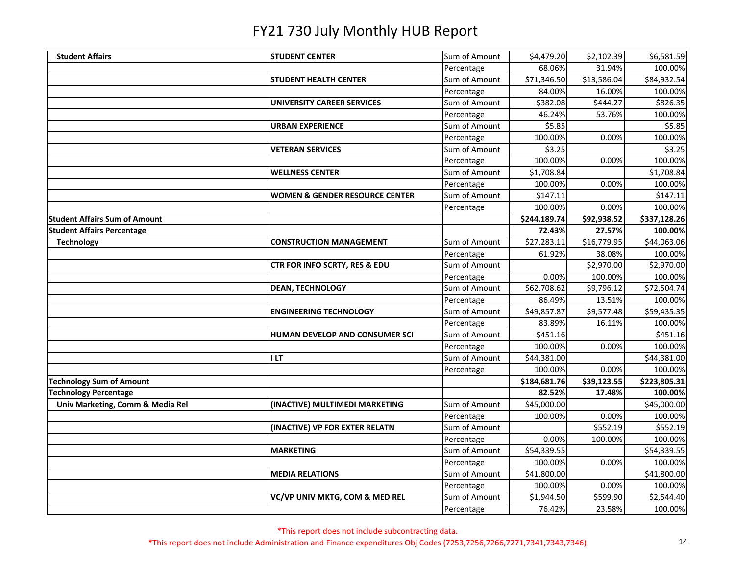| <b>Student Affairs</b>               | <b>STUDENT CENTER</b>                     | Sum of Amount | \$4,479.20   | \$2,102.39  | \$6,581.59           |
|--------------------------------------|-------------------------------------------|---------------|--------------|-------------|----------------------|
|                                      |                                           | Percentage    | 68.06%       | 31.94%      | 100.00%              |
|                                      | <b>STUDENT HEALTH CENTER</b>              | Sum of Amount | \$71,346.50  | \$13,586.04 | \$84,932.54          |
|                                      |                                           | Percentage    | 84.00%       | 16.00%      | 100.00%              |
|                                      | UNIVERSITY CAREER SERVICES                | Sum of Amount | \$382.08     | \$444.27    | \$826.35             |
|                                      |                                           | Percentage    | 46.24%       | 53.76%      | 100.00%              |
|                                      | <b>URBAN EXPERIENCE</b>                   | Sum of Amount | \$5.85       |             | \$5.85               |
|                                      |                                           | Percentage    | 100.00%      | 0.00%       | 100.00%              |
|                                      | <b>VETERAN SERVICES</b>                   | Sum of Amount | \$3.25       |             | \$3.25               |
|                                      |                                           | Percentage    | 100.00%      | 0.00%       | 100.00%              |
|                                      | <b>WELLNESS CENTER</b>                    | Sum of Amount | \$1,708.84   |             | \$1,708.84           |
|                                      |                                           | Percentage    | 100.00%      | 0.00%       | 100.00%              |
|                                      | <b>WOMEN &amp; GENDER RESOURCE CENTER</b> | Sum of Amount | \$147.11     |             | \$147.11             |
|                                      |                                           | Percentage    | 100.00%      | 0.00%       | 100.00%              |
| <b>Student Affairs Sum of Amount</b> |                                           |               | \$244,189.74 | \$92,938.52 | \$337,128.26         |
| <b>Student Affairs Percentage</b>    |                                           |               | 72.43%       | 27.57%      | 100.00%              |
| <b>Technology</b>                    | <b>CONSTRUCTION MANAGEMENT</b>            | Sum of Amount | \$27,283.11  | \$16,779.95 | \$44,063.06          |
|                                      |                                           | Percentage    | 61.92%       | 38.08%      | 100.00%              |
|                                      | CTR FOR INFO SCRTY, RES & EDU             | Sum of Amount |              | \$2,970.00  | \$2,970.00           |
|                                      |                                           | Percentage    | 0.00%        | 100.00%     | 100.00%              |
|                                      | <b>DEAN, TECHNOLOGY</b>                   | Sum of Amount | \$62,708.62  | \$9,796.12  | \$72,504.74          |
|                                      |                                           | Percentage    | 86.49%       | 13.51%      | 100.00%              |
|                                      | <b>ENGINEERING TECHNOLOGY</b>             | Sum of Amount | \$49,857.87  | \$9,577.48  | \$59,435.35          |
|                                      |                                           | Percentage    | 83.89%       | 16.11%      | 100.00%              |
|                                      | HUMAN DEVELOP AND CONSUMER SCI            | Sum of Amount | \$451.16     |             | $\overline{$}451.16$ |
|                                      |                                           | Percentage    | 100.00%      | 0.00%       | 100.00%              |
|                                      | <b>ILT</b>                                | Sum of Amount | \$44,381.00  |             | \$44,381.00          |
|                                      |                                           | Percentage    | 100.00%      | 0.00%       | 100.00%              |
| <b>Technology Sum of Amount</b>      |                                           |               | \$184,681.76 | \$39,123.55 | \$223,805.31         |
| <b>Technology Percentage</b>         |                                           |               | 82.52%       | 17.48%      | 100.00%              |
| Univ Marketing, Comm & Media Rel     | (INACTIVE) MULTIMEDI MARKETING            | Sum of Amount | \$45,000.00  |             | \$45,000.00          |
|                                      |                                           | Percentage    | 100.00%      | 0.00%       | 100.00%              |
|                                      | (INACTIVE) VP FOR EXTER RELATN            | Sum of Amount |              | \$552.19    | \$552.19             |
|                                      |                                           | Percentage    | 0.00%        | 100.00%     | 100.00%              |
|                                      | <b>MARKETING</b>                          | Sum of Amount | \$54,339.55  |             | \$54,339.55          |
|                                      |                                           | Percentage    | 100.00%      | 0.00%       | 100.00%              |
|                                      | <b>MEDIA RELATIONS</b>                    | Sum of Amount | \$41,800.00  |             | \$41,800.00          |
|                                      |                                           | Percentage    | 100.00%      | 0.00%       | 100.00%              |
|                                      | VC/VP UNIV MKTG, COM & MED REL            | Sum of Amount | \$1,944.50   | \$599.90    | \$2,544.40           |
|                                      |                                           | Percentage    | 76.42%       | 23.58%      | 100.00%              |

\*This report does not include subcontracting data.